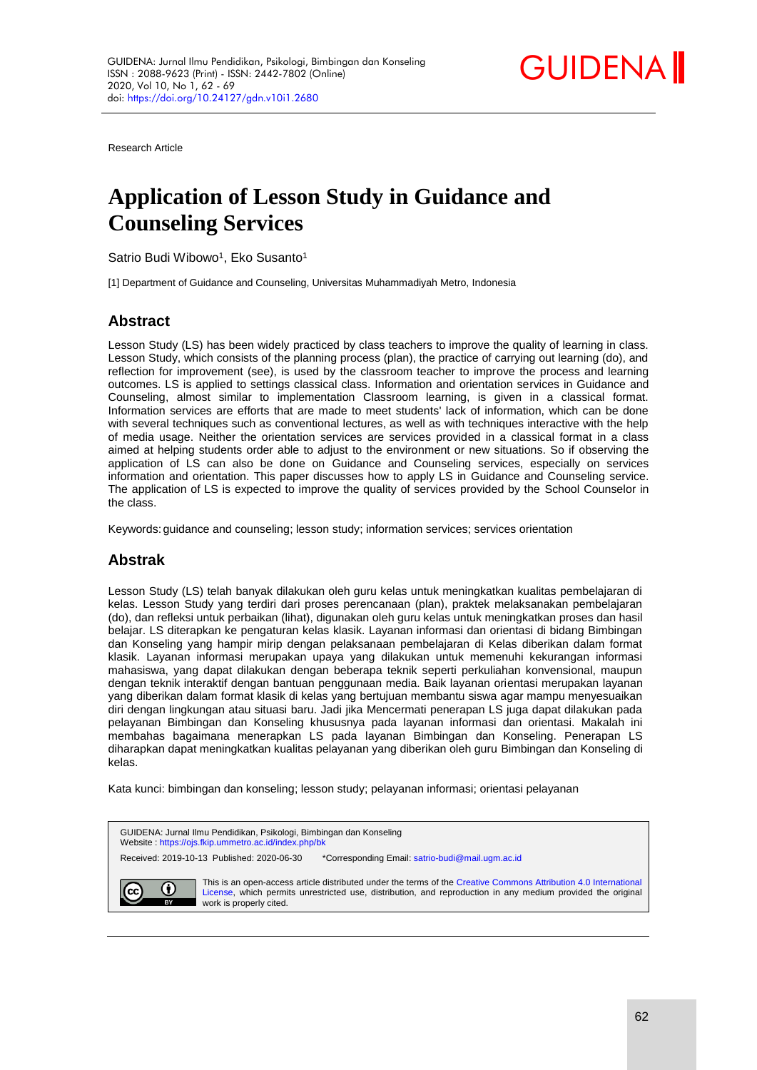

Research Article

# **Application of Lesson Study in Guidance and Counseling Services**

Satrio Budi Wibowo<sup>1</sup>, Eko Susanto<sup>1</sup>

[1] Department of Guidance and Counseling, Universitas Muhammadiyah Metro, Indonesia

# **Abstract**

Lesson Study (LS) has been widely practiced by class teachers to improve the quality of learning in class. Lesson Study, which consists of the planning process (plan), the practice of carrying out learning (do), and reflection for improvement (see), is used by the classroom teacher to improve the process and learning outcomes. LS is applied to settings classical class. Information and orientation services in Guidance and Counseling, almost similar to implementation Classroom learning, is given in a classical format. Information services are efforts that are made to meet students' lack of information, which can be done with several techniques such as conventional lectures, as well as with techniques interactive with the help of media usage. Neither the orientation services are services provided in a classical format in a class aimed at helping students order able to adjust to the environment or new situations. So if observing the application of LS can also be done on Guidance and Counseling services, especially on services information and orientation. This paper discusses how to apply LS in Guidance and Counseling service. The application of LS is expected to improve the quality of services provided by the School Counselor in the class.

Keywords: quidance and counseling; lesson study; information services; services orientation

# **Abstrak**

Lesson Study (LS) telah banyak dilakukan oleh guru kelas untuk meningkatkan kualitas pembelajaran di kelas. Lesson Study yang terdiri dari proses perencanaan (plan), praktek melaksanakan pembelajaran (do), dan refleksi untuk perbaikan (lihat), digunakan oleh guru kelas untuk meningkatkan proses dan hasil belajar. LS diterapkan ke pengaturan kelas klasik. Layanan informasi dan orientasi di bidang Bimbingan dan Konseling yang hampir mirip dengan pelaksanaan pembelajaran di Kelas diberikan dalam format klasik. Layanan informasi merupakan upaya yang dilakukan untuk memenuhi kekurangan informasi mahasiswa, yang dapat dilakukan dengan beberapa teknik seperti perkuliahan konvensional, maupun dengan teknik interaktif dengan bantuan penggunaan media. Baik layanan orientasi merupakan layanan yang diberikan dalam format klasik di kelas yang bertujuan membantu siswa agar mampu menyesuaikan diri dengan lingkungan atau situasi baru. Jadi jika Mencermati penerapan LS juga dapat dilakukan pada pelayanan Bimbingan dan Konseling khususnya pada layanan informasi dan orientasi. Makalah ini membahas bagaimana menerapkan LS pada layanan Bimbingan dan Konseling. Penerapan LS diharapkan dapat meningkatkan kualitas pelayanan yang diberikan oleh guru Bimbingan dan Konseling di kelas.

Kata kunci: bimbingan dan konseling; lesson study; pelayanan informasi; orientasi pelayanan

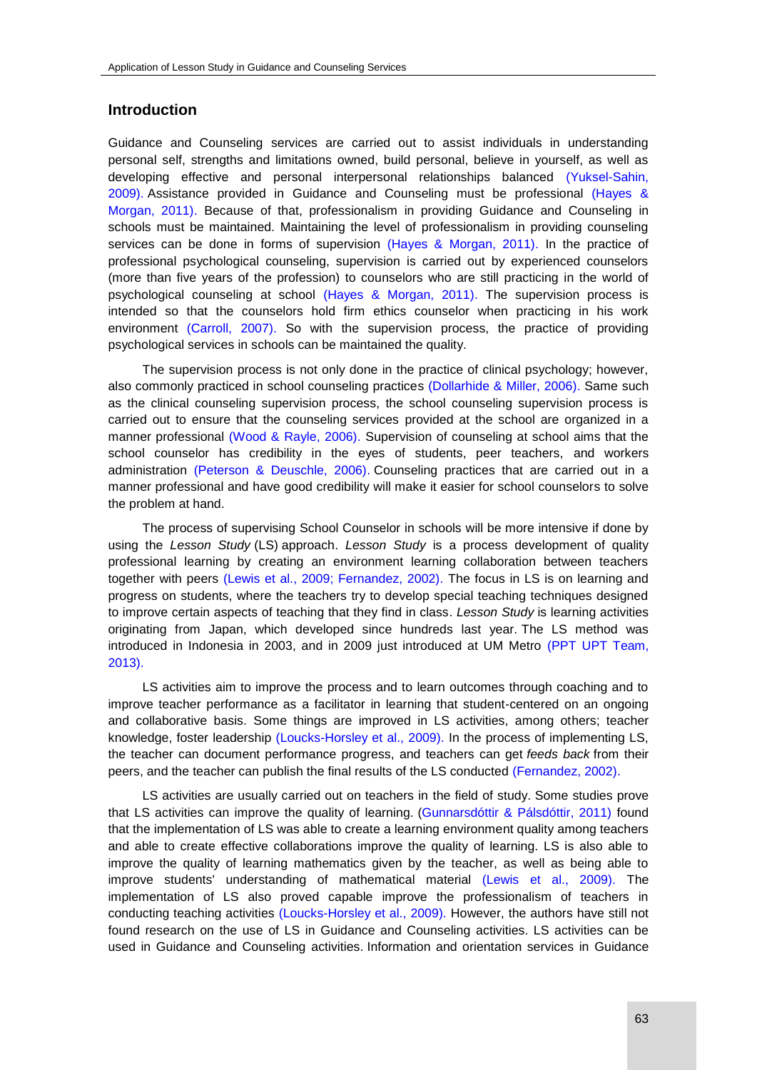## **Introduction**

Guidance and Counseling services are carried out to assist individuals in understanding personal self, strengths and limitations owned, build personal, believe in yourself, as well as developing effective and personal interpersonal relationships balanced [\(Yuksel-Sahin,](#page-6-0)  2009). Assistance provided in Guidance and Counseling must be professional [\(Hayes &](#page-6-0)  Morgan, 2011). Because of that, professionalism in providing Guidance and Counseling in schools must be maintained. Maintaining the level of professionalism in providing counseling services can be done in forms of supervision [\(Hayes & Morgan, 2011\).](#page-6-0) In the practice of professional psychological counseling, supervision is carried out by experienced counselors (more than five years of the profession) to counselors who are still practicing in the world of psychological counseling at school [\(Hayes & Morgan, 2011\).](#page-6-0) The supervision process is intended so that the counselors hold firm ethics counselor when practicing in his work environment [\(Carroll, 2007\).](#page-6-0) So with the supervision process, the practice of providing psychological services in schools can be maintained the quality.

The supervision process is not only done in the practice of clinical psychology; however, also commonly practiced in school counseling practices [\(Dollarhide & Miller, 2006\).](#page-6-0) Same such as the clinical counseling supervision process, the school counseling supervision process is carried out to ensure that the counseling services provided at the school are organized in a manner professional [\(Wood & Rayle, 2006\).](#page-6-0) Supervision of counseling at school aims that the school counselor has credibility in the eyes of students, peer teachers, and workers administration [\(Peterson & Deuschle, 2006\).](#page-6-0) Counseling practices that are carried out in a manner professional and have good credibility will make it easier for school counselors to solve the problem at hand.

The process of supervising School Counselor in schools will be more intensive if done by using the *Lesson Study* (LS) approach. *Lesson Study* is a process development of quality professional learning by creating an environment learning collaboration between teachers together with peers [\(Lewis et al., 2009; Fernandez, 2002\).](#page-6-0) The focus in LS is on learning and progress on students, where the teachers try to develop special teaching techniques designed to improve certain aspects of teaching that they find in class. *Lesson Study* is learning activities originating from Japan, which developed since hundreds last year. The LS method was introduced in Indonesia in 2003, and in 2009 just introduced at UM Metro [\(PPT UPT Team,](#page-6-0)  [2013\).](#page-6-0)

LS activities aim to improve the process and to learn outcomes through coaching and to improve teacher performance as a facilitator in learning that student-centered on an ongoing and collaborative basis. Some things are improved in LS activities, among others; teacher knowledge, foster leadership [\(Loucks-Horsley et al., 2009\).](#page-6-0) In the process of implementing LS, the teacher can document performance progress, and teachers can get *feeds back* from their peers, and the teacher can publish the final results of the LS conducted [\(Fernandez, 2002\).](#page-6-0)

LS activities are usually carried out on teachers in the field of study. Some studies prove that LS activities can improve the quality of learning. [\(Gunnarsdóttir & Pálsdóttir, 2011\)](#page-6-0) found that the implementation of LS was able to create a learning environment quality among teachers and able to create effective collaborations improve the quality of learning. LS is also able to improve the quality of learning mathematics given by the teacher, as well as being able to improve students' understanding of mathematical material [\(Lewis et al., 2009\).](#page-6-0) The implementation of LS also proved capable improve the professionalism of teachers in conducting teaching activities [\(Loucks-Horsley et al., 2009\).](#page-6-0) However, the authors have still not found research on the use of LS in Guidance and Counseling activities. LS activities can be used in Guidance and Counseling activities. Information and orientation services in Guidance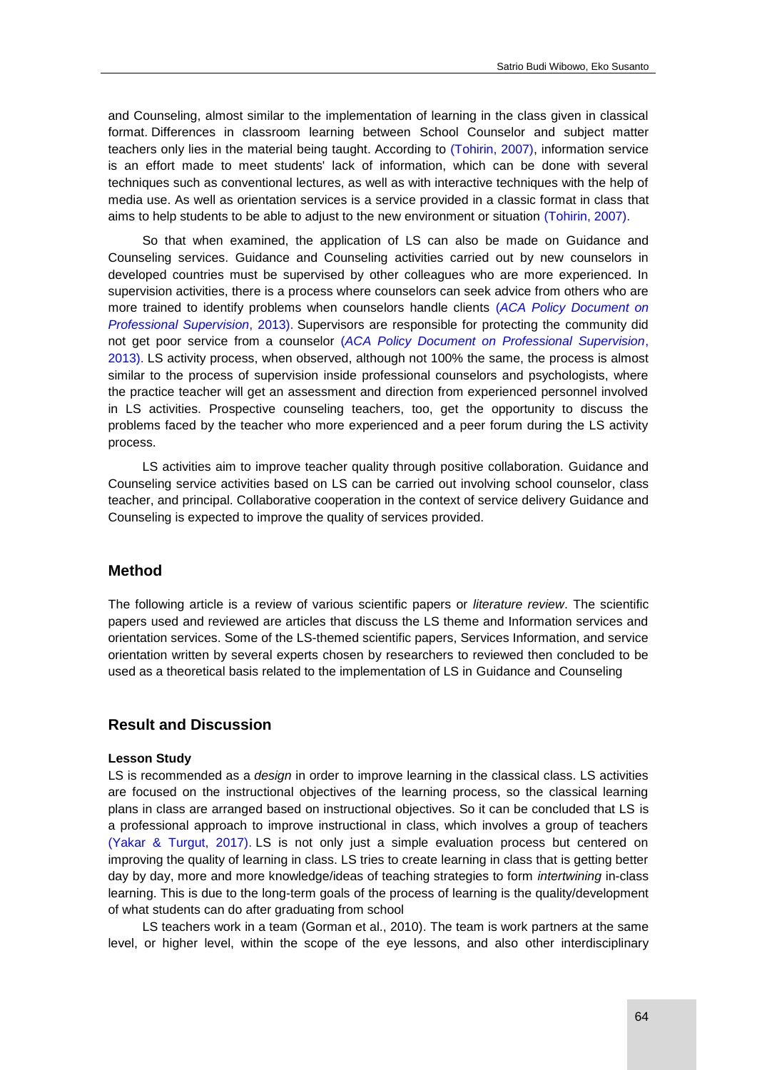and Counseling, almost similar to the implementation of learning in the class given in classical format. Differences in classroom learning between School Counselor and subject matter teachers only lies in the material being taught. According to [\(Tohirin, 2007\),](#page-6-0) information service is an effort made to meet students' lack of information, which can be done with several techniques such as conventional lectures, as well as with interactive techniques with the help of media use. As well as orientation services is a service provided in a classic format in class that aims to help students to be able to adjust to the new environment or situation [\(Tohirin, 2007\).](#page-6-0)

So that when examined, the application of LS can also be made on Guidance and Counseling services. Guidance and Counseling activities carried out by new counselors in developed countries must be supervised by other colleagues who are more experienced. In supervision activities, there is a process where counselors can seek advice from others who are more trained to identify problems when counselors handle clients (*[ACA Policy Document on](#page-6-0)  Professional Supervision*, 2013). Supervisors are responsible for protecting the community did not get poor service from a counselor (*ACA Policy Document on Professional Supervision*, 2013). LS activity process, when observed, although not 100% the same, the process is almost similar to the process of supervision inside professional counselors and psychologists, where the practice teacher will get an assessment and direction from experienced personnel involved in LS activities. Prospective counseling teachers, too, get the opportunity to discuss the problems faced by the teacher who more experienced and a peer forum during the LS activity process.

LS activities aim to improve teacher quality through positive collaboration. Guidance and Counseling service activities based on LS can be carried out involving school counselor, class teacher, and principal. Collaborative cooperation in the context of service delivery Guidance and Counseling is expected to improve the quality of services provided.

## **Method**

The following article is a review of various scientific papers or *literature review*. The scientific papers used and reviewed are articles that discuss the LS theme and Information services and orientation services. Some of the LS-themed scientific papers, Services Information, and service orientation written by several experts chosen by researchers to reviewed then concluded to be used as a theoretical basis related to the implementation of LS in Guidance and Counseling

## **Result and Discussion**

#### **Lesson Study**

LS is recommended as a *design* in order to improve learning in the classical class. LS activities are focused on the instructional objectives of the learning process, so the classical learning plans in class are arranged based on instructional objectives. So it can be concluded that LS is a professional approach to improve instructional in class, which involves a group of teachers [\(Yakar & Turgut, 2017\).](#page-6-0) LS is not only just a simple evaluation process but centered on improving the quality of learning in class. LS tries to create learning in class that is getting better day by day, more and more knowledge/ideas of teaching strategies to form *intertwining* in-class learning. This is due to the long-term goals of the process of learning is the quality/development of what students can do after graduating from school

LS teachers work in a team (Gorman et al., 2010). The team is work partners at the same level, or higher level, within the scope of the eye lessons, and also other interdisciplinary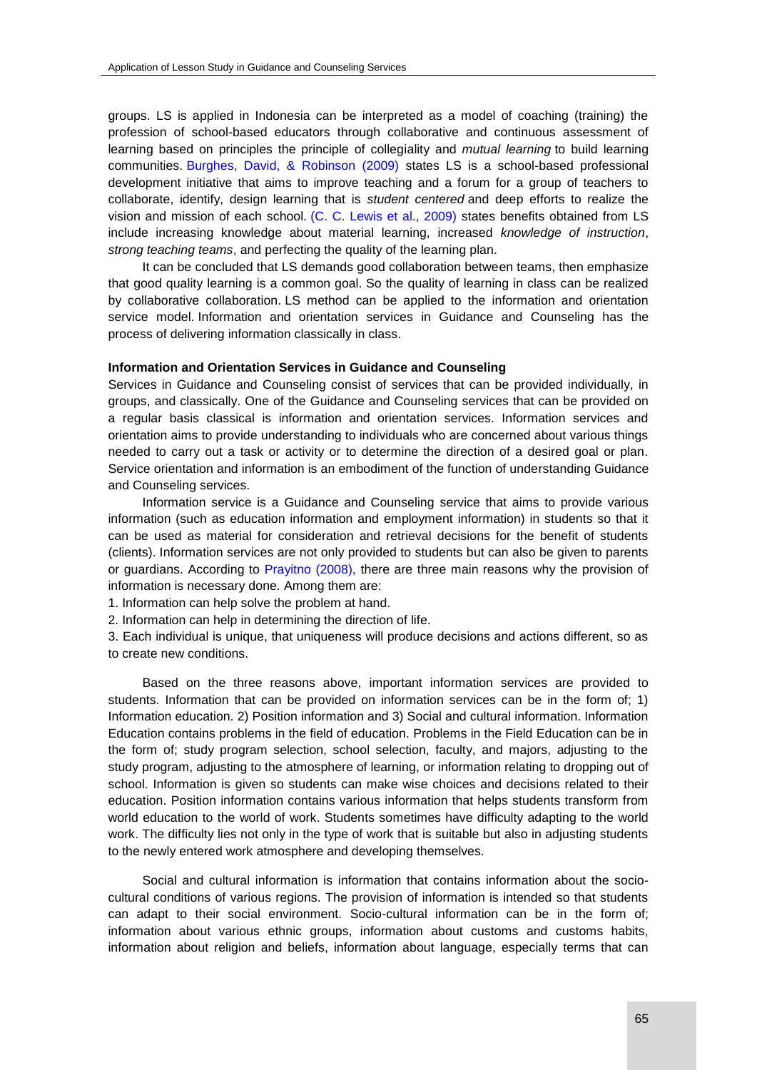groups. LS is applied in Indonesia can be interpreted as a model of coaching (training) the profession of school-based educators through collaborative and continuous assessment of learning based on principles the principle of collegiality and *mutual learning* to build learning communities. [Burghes, David, & Robinson](#page-6-0) (2009) states LS is a school-based professional development initiative that aims to improve teaching and a forum for a group of teachers to collaborate, identify, design learning that is *student centered* and deep efforts to realize the vision and mission of each school. [\(C. C. Lewis et al., 2009\)](#page-6-0) states benefits obtained from LS include increasing knowledge about material learning, increased *knowledge of instruction*, *strong teaching teams*, and perfecting the quality of the learning plan.

It can be concluded that LS demands good collaboration between teams, then emphasize that good quality learning is a common goal. So the quality of learning in class can be realized by collaborative collaboration. LS method can be applied to the information and orientation service model. Information and orientation services in Guidance and Counseling has the process of delivering information classically in class.

## **Information and Orientation Services in Guidance and Counseling**

Services in Guidance and Counseling consist of services that can be provided individually, in groups, and classically. One of the Guidance and Counseling services that can be provided on a regular basis classical is information and orientation services. Information services and orientation aims to provide understanding to individuals who are concerned about various things needed to carry out a task or activity or to determine the direction of a desired goal or plan. Service orientation and information is an embodiment of the function of understanding Guidance and Counseling services.

Information service is a Guidance and Counseling service that aims to provide various information (such as education information and employment information) in students so that it can be used as material for consideration and retrieval decisions for the benefit of students (clients). Information services are not only provided to students but can also be given to parents or guardians. According to [Prayitno \(2008\),](#page-6-0) there are three main reasons why the provision of information is necessary done. Among them are:

1. Information can help solve the problem at hand.

2. Information can help in determining the direction of life.

3. Each individual is unique, that uniqueness will produce decisions and actions different, so as to create new conditions.

Based on the three reasons above, important information services are provided to students. Information that can be provided on information services can be in the form of; 1) Information education. 2) Position information and 3) Social and cultural information. Information Education contains problems in the field of education. Problems in the Field Education can be in the form of; study program selection, school selection, faculty, and majors, adjusting to the study program, adjusting to the atmosphere of learning, or information relating to dropping out of school. Information is given so students can make wise choices and decisions related to their education. Position information contains various information that helps students transform from world education to the world of work. Students sometimes have difficulty adapting to the world work. The difficulty lies not only in the type of work that is suitable but also in adjusting students to the newly entered work atmosphere and developing themselves.

Social and cultural information is information that contains information about the sociocultural conditions of various regions. The provision of information is intended so that students can adapt to their social environment. Socio-cultural information can be in the form of; information about various ethnic groups, information about customs and customs habits, information about religion and beliefs, information about language, especially terms that can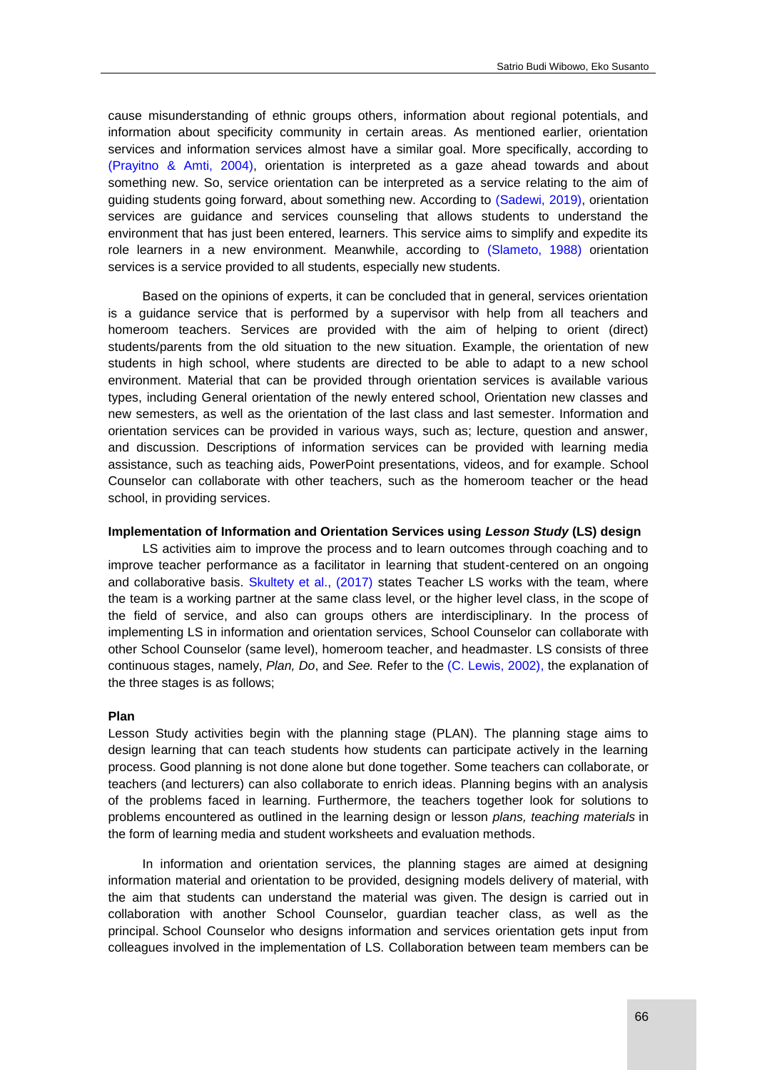cause misunderstanding of ethnic groups others, information about regional potentials, and information about specificity community in certain areas. As mentioned earlier, orientation services and information services almost have a similar goal. More specifically, according to [\(Prayitno & Amti, 2004\),](#page-6-0) orientation is interpreted as a gaze ahead towards and about something new. So, service orientation can be interpreted as a service relating to the aim of guiding students going forward, about something new. According to [\(Sadewi, 2019\),](#page-6-0) orientation services are guidance and services counseling that allows students to understand the environment that has just been entered, learners. This service aims to simplify and expedite its role learners in a new environment. Meanwhile, according to [\(Slameto, 1988\)](#page-6-0) orientation services is a service provided to all students, especially new students.

Based on the opinions of experts, it can be concluded that in general, services orientation is a guidance service that is performed by a supervisor with help from all teachers and homeroom teachers. Services are provided with the aim of helping to orient (direct) students/parents from the old situation to the new situation. Example, the orientation of new students in high school, where students are directed to be able to adapt to a new school environment. Material that can be provided through orientation services is available various types, including General orientation of the newly entered school, Orientation new classes and new semesters, as well as the orientation of the last class and last semester. Information and orientation services can be provided in various ways, such as; lecture, question and answer, and discussion. Descriptions of information services can be provided with learning media assistance, such as teaching aids, PowerPoint presentations, videos, and for example. School Counselor can collaborate with other teachers, such as the homeroom teacher or the head school, in providing services.

#### **Implementation of Information and Orientation Services using** *Lesson Study* **(LS) design**

LS activities aim to improve the process and to learn outcomes through coaching and to improve teacher performance as a facilitator in learning that student-centered on an ongoing and collaborative basis. Skultety et al., (2017) states Teacher LS works with the team, where the team is a working partner at the same class level, or the higher level class, in the scope of the field of service, and also can groups others are interdisciplinary. In the process of implementing LS in information and orientation services, School Counselor can collaborate with other School Counselor (same level), homeroom teacher, and headmaster. LS consists of three continuous stages, namely, *Plan, Do*, and *See.* Refer to the [\(C. Lewis, 2002\),](#page-6-0) the explanation of the three stages is as follows;

## **Plan**

Lesson Study activities begin with the planning stage (PLAN). The planning stage aims to design learning that can teach students how students can participate actively in the learning process. Good planning is not done alone but done together. Some teachers can collaborate, or teachers (and lecturers) can also collaborate to enrich ideas. Planning begins with an analysis of the problems faced in learning. Furthermore, the teachers together look for solutions to problems encountered as outlined in the learning design or lesson *plans, teaching materials* in the form of learning media and student worksheets and evaluation methods.

In information and orientation services, the planning stages are aimed at designing information material and orientation to be provided, designing models delivery of material, with the aim that students can understand the material was given. The design is carried out in collaboration with another School Counselor, guardian teacher class, as well as the principal. School Counselor who designs information and services orientation gets input from colleagues involved in the implementation of LS. Collaboration between team members can be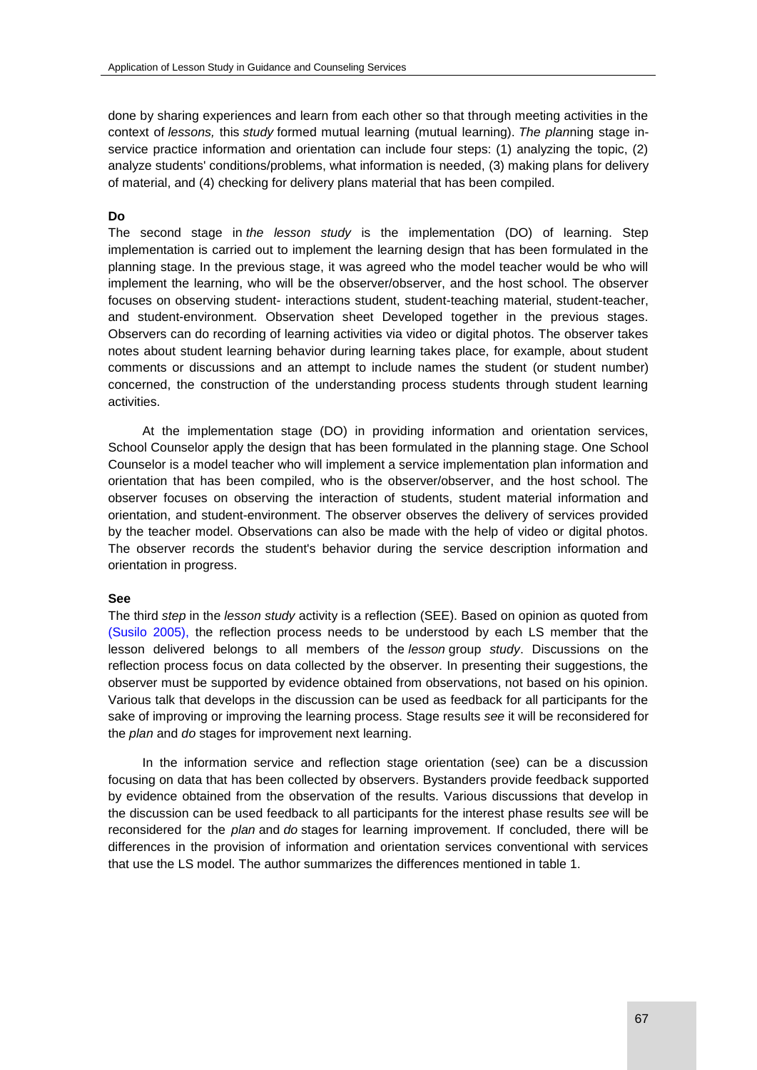done by sharing experiences and learn from each other so that through meeting activities in the context of *lessons,* this *study* formed mutual learning (mutual learning). *The plan*ning stage inservice practice information and orientation can include four steps: (1) analyzing the topic, (2) analyze students' conditions/problems, what information is needed, (3) making plans for delivery of material, and (4) checking for delivery plans material that has been compiled.

## **Do**

The second stage in *the lesson study* is the implementation (DO) of learning. Step implementation is carried out to implement the learning design that has been formulated in the planning stage. In the previous stage, it was agreed who the model teacher would be who will implement the learning, who will be the observer/observer, and the host school. The observer focuses on observing student- interactions student, student-teaching material, student-teacher, and student-environment. Observation sheet Developed together in the previous stages. Observers can do recording of learning activities via video or digital photos. The observer takes notes about student learning behavior during learning takes place, for example, about student comments or discussions and an attempt to include names the student (or student number) concerned, the construction of the understanding process students through student learning activities.

At the implementation stage (DO) in providing information and orientation services, School Counselor apply the design that has been formulated in the planning stage. One School Counselor is a model teacher who will implement a service implementation plan information and orientation that has been compiled, who is the observer/observer, and the host school. The observer focuses on observing the interaction of students, student material information and orientation, and student-environment. The observer observes the delivery of services provided by the teacher model. Observations can also be made with the help of video or digital photos. The observer records the student's behavior during the service description information and orientation in progress.

#### **See**

The third *step* in the *lesson study* activity is a reflection (SEE). Based on opinion as quoted from [\(Susilo 2005\),](#page-6-0) the reflection process needs to be understood by each LS member that the lesson delivered belongs to all members of the *lesson* group *study*. Discussions on the reflection process focus on data collected by the observer. In presenting their suggestions, the observer must be supported by evidence obtained from observations, not based on his opinion. Various talk that develops in the discussion can be used as feedback for all participants for the sake of improving or improving the learning process. Stage results *see* it will be reconsidered for the *plan* and *do* stages for improvement next learning.

In the information service and reflection stage orientation (see) can be a discussion focusing on data that has been collected by observers. Bystanders provide feedback supported by evidence obtained from the observation of the results. Various discussions that develop in the discussion can be used feedback to all participants for the interest phase results *see* will be reconsidered for the *plan* and *do* stages for learning improvement. If concluded, there will be differences in the provision of information and orientation services conventional with services that use the LS model. The author summarizes the differences mentioned in table 1.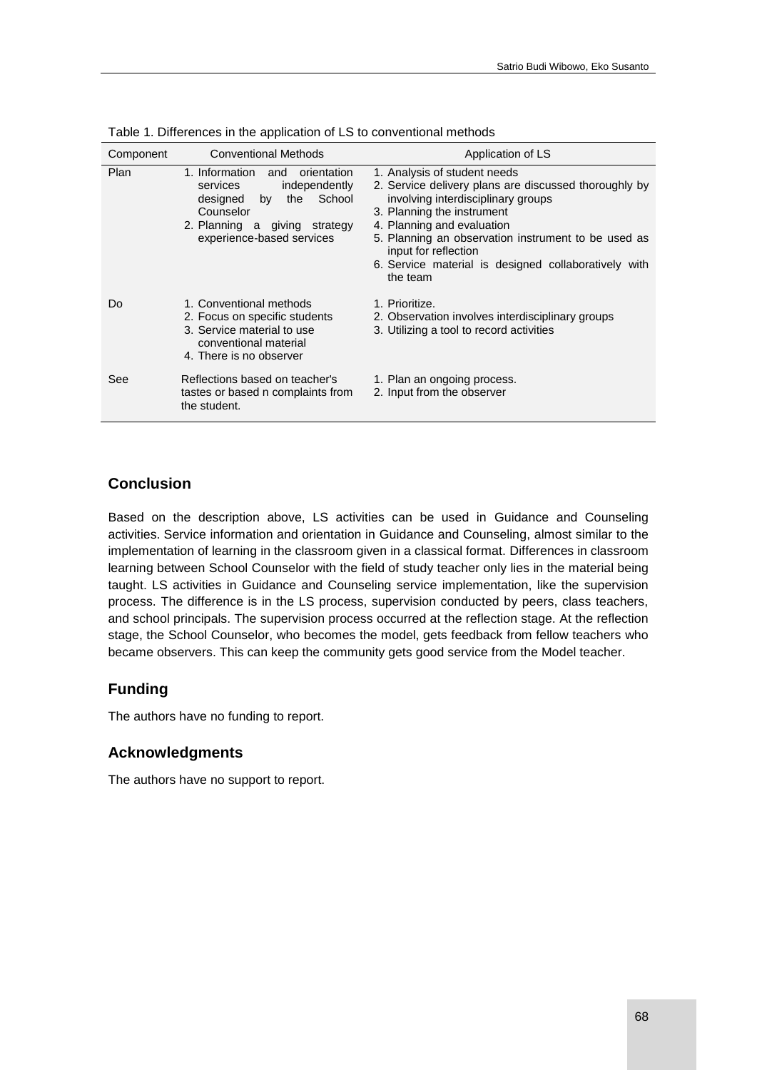| Component | <b>Conventional Methods</b>                                                                                                                                                     | Application of LS                                                                                                                                                                                                                                                                                                                          |
|-----------|---------------------------------------------------------------------------------------------------------------------------------------------------------------------------------|--------------------------------------------------------------------------------------------------------------------------------------------------------------------------------------------------------------------------------------------------------------------------------------------------------------------------------------------|
| Plan      | 1. Information<br>orientation<br>and<br>independently<br>services<br>School<br>designed<br>by<br>the<br>Counselor<br>2. Planning a giving strategy<br>experience-based services | 1. Analysis of student needs<br>2. Service delivery plans are discussed thoroughly by<br>involving interdisciplinary groups<br>3. Planning the instrument<br>4. Planning and evaluation<br>5. Planning an observation instrument to be used as<br>input for reflection<br>6. Service material is designed collaboratively with<br>the team |
| Do        | 1. Conventional methods<br>2. Focus on specific students<br>3. Service material to use<br>conventional material<br>4. There is no observer                                      | 1. Prioritize.<br>2. Observation involves interdisciplinary groups<br>3. Utilizing a tool to record activities                                                                                                                                                                                                                             |
| See       | Reflections based on teacher's<br>tastes or based n complaints from<br>the student.                                                                                             | 1. Plan an ongoing process.<br>2. Input from the observer                                                                                                                                                                                                                                                                                  |

Table 1. Differences in the application of LS to conventional methods

## **Conclusion**

Based on the description above, LS activities can be used in Guidance and Counseling activities. Service information and orientation in Guidance and Counseling, almost similar to the implementation of learning in the classroom given in a classical format. Differences in classroom learning between School Counselor with the field of study teacher only lies in the material being taught. LS activities in Guidance and Counseling service implementation, like the supervision process. The difference is in the LS process, supervision conducted by peers, class teachers, and school principals. The supervision process occurred at the reflection stage. At the reflection stage, the School Counselor, who becomes the model, gets feedback from fellow teachers who became observers. This can keep the community gets good service from the Model teacher.

# **Funding**

The authors have no funding to report.

## **Acknowledgments**

<span id="page-6-0"></span>The authors have no support to report.